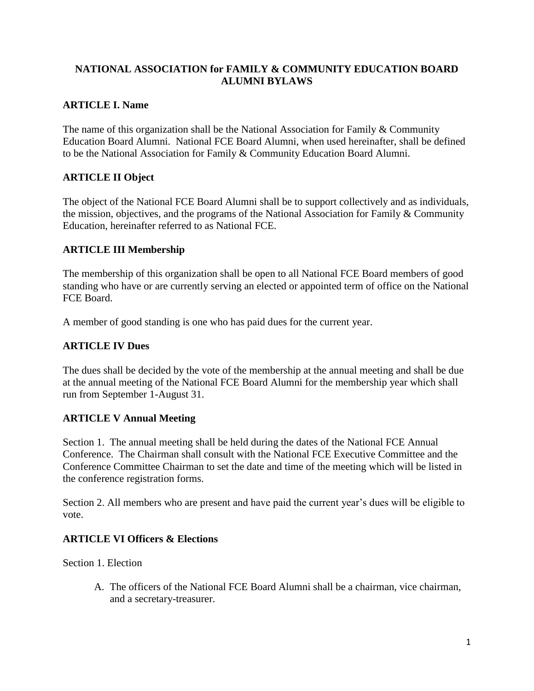### **NATIONAL ASSOCIATION for FAMILY & COMMUNITY EDUCATION BOARD ALUMNI BYLAWS**

## **ARTICLE I. Name**

The name of this organization shall be the National Association for Family & Community Education Board Alumni. National FCE Board Alumni, when used hereinafter, shall be defined to be the National Association for Family & Community Education Board Alumni.

# **ARTICLE II Object**

The object of the National FCE Board Alumni shall be to support collectively and as individuals, the mission, objectives, and the programs of the National Association for Family & Community Education, hereinafter referred to as National FCE.

### **ARTICLE III Membership**

The membership of this organization shall be open to all National FCE Board members of good standing who have or are currently serving an elected or appointed term of office on the National FCE Board.

A member of good standing is one who has paid dues for the current year.

### **ARTICLE IV Dues**

The dues shall be decided by the vote of the membership at the annual meeting and shall be due at the annual meeting of the National FCE Board Alumni for the membership year which shall run from September 1-August 31.

### **ARTICLE V Annual Meeting**

Section 1. The annual meeting shall be held during the dates of the National FCE Annual Conference. The Chairman shall consult with the National FCE Executive Committee and the Conference Committee Chairman to set the date and time of the meeting which will be listed in the conference registration forms.

Section 2. All members who are present and have paid the current year's dues will be eligible to vote.

### **ARTICLE VI Officers & Elections**

Section 1. Election

A. The officers of the National FCE Board Alumni shall be a chairman, vice chairman, and a secretary-treasurer.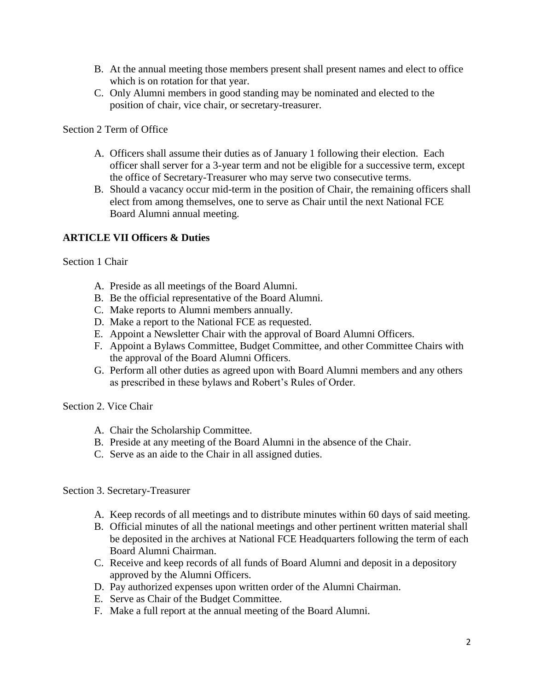- B. At the annual meeting those members present shall present names and elect to office which is on rotation for that year.
- C. Only Alumni members in good standing may be nominated and elected to the position of chair, vice chair, or secretary-treasurer.

Section 2 Term of Office

- A. Officers shall assume their duties as of January 1 following their election. Each officer shall server for a 3-year term and not be eligible for a successive term, except the office of Secretary-Treasurer who may serve two consecutive terms.
- B. Should a vacancy occur mid-term in the position of Chair, the remaining officers shall elect from among themselves, one to serve as Chair until the next National FCE Board Alumni annual meeting.

### **ARTICLE VII Officers & Duties**

Section 1 Chair

- A. Preside as all meetings of the Board Alumni.
- B. Be the official representative of the Board Alumni.
- C. Make reports to Alumni members annually.
- D. Make a report to the National FCE as requested.
- E. Appoint a Newsletter Chair with the approval of Board Alumni Officers.
- F. Appoint a Bylaws Committee, Budget Committee, and other Committee Chairs with the approval of the Board Alumni Officers.
- G. Perform all other duties as agreed upon with Board Alumni members and any others as prescribed in these bylaws and Robert's Rules of Order.

Section 2. Vice Chair

- A. Chair the Scholarship Committee.
- B. Preside at any meeting of the Board Alumni in the absence of the Chair.
- C. Serve as an aide to the Chair in all assigned duties.

Section 3. Secretary-Treasurer

- A. Keep records of all meetings and to distribute minutes within 60 days of said meeting.
- B. Official minutes of all the national meetings and other pertinent written material shall be deposited in the archives at National FCE Headquarters following the term of each Board Alumni Chairman.
- C. Receive and keep records of all funds of Board Alumni and deposit in a depository approved by the Alumni Officers.
- D. Pay authorized expenses upon written order of the Alumni Chairman.
- E. Serve as Chair of the Budget Committee.
- F. Make a full report at the annual meeting of the Board Alumni.